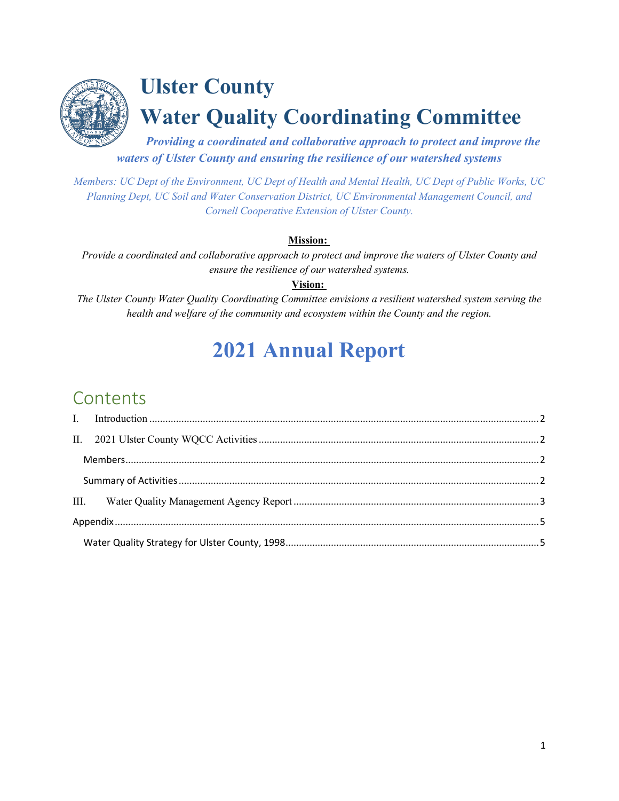

# **Ulster County Water Quality Coordinating Committee**

*Providing a coordinated and collaborative approach to protect and improve the waters of Ulster County and ensuring the resilience of our watershed systems*

*Members: UC Dept of the Environment, UC Dept of Health and Mental Health, UC Dept of Public Works, UC Planning Dept, UC Soil and Water Conservation District, UC Environmental Management Council, and Cornell Cooperative Extension of Ulster County.* 

#### **Mission:**

*Provide a coordinated and collaborative approach to protect and improve the waters of Ulster County and ensure the resilience of our watershed systems.*

**Vision:** 

*The Ulster County Water Quality Coordinating Committee envisions a resilient watershed system serving the health and welfare of the community and ecosystem within the County and the region.* 

# **2021 Annual Report**

### **Contents**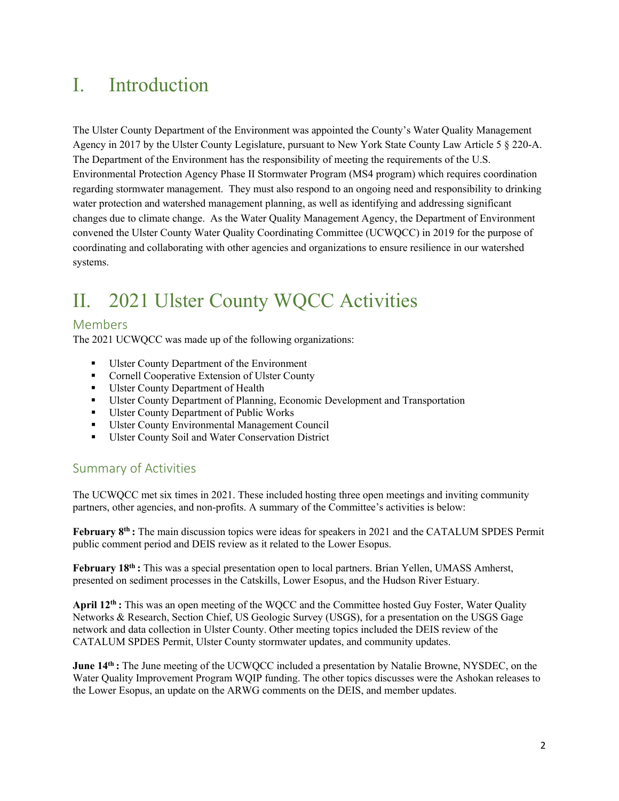### <span id="page-1-0"></span>I. Introduction

The Ulster County Department of the Environment was appointed the County's Water Quality Management Agency in 2017 by the Ulster County Legislature, pursuant to New York State County Law Article 5 § 220-A. The Department of the Environment has the responsibility of meeting the requirements of the U.S. Environmental Protection Agency Phase II Stormwater Program (MS4 program) which requires coordination regarding stormwater management. They must also respond to an ongoing need and responsibility to drinking water protection and watershed management planning, as well as identifying and addressing significant changes due to climate change. As the Water Quality Management Agency, the Department of Environment convened the Ulster County Water Quality Coordinating Committee (UCWQCC) in 2019 for the purpose of coordinating and collaborating with other agencies and organizations to ensure resilience in our watershed systems.

## <span id="page-1-1"></span>II. 2021 Ulster County WQCC Activities

#### <span id="page-1-2"></span>Members

The 2021 UCWQCC was made up of the following organizations:

- Ulster County Department of the Environment
- Cornell Cooperative Extension of Ulster County
- Ulster County Department of Health
- Ulster County Department of Planning, Economic Development and Transportation
- Ulster County Department of Public Works
- Ulster County Environmental Management Council
- Ulster County Soil and Water Conservation District

#### <span id="page-1-3"></span>Summary of Activities

The UCWQCC met six times in 2021. These included hosting three open meetings and inviting community partners, other agencies, and non-profits. A summary of the Committee's activities is below:

**February 8th :** The main discussion topics were ideas for speakers in 2021 and the CATALUM SPDES Permit public comment period and DEIS review as it related to the Lower Esopus.

**February 18th :** This was a special presentation open to local partners. Brian Yellen, UMASS Amherst, presented on sediment processes in the Catskills, Lower Esopus, and the Hudson River Estuary.

**April 12th :** This was an open meeting of the WQCC and the Committee hosted Guy Foster, Water Quality Networks & Research, Section Chief, US Geologic Survey (USGS), for a presentation on the USGS Gage network and data collection in Ulster County. Other meeting topics included the DEIS review of the CATALUM SPDES Permit, Ulster County stormwater updates, and community updates.

**June 14th :** The June meeting of the UCWQCC included a presentation by Natalie Browne, NYSDEC, on the Water Quality Improvement Program WQIP funding. The other topics discusses were the Ashokan releases to the Lower Esopus, an update on the ARWG comments on the DEIS, and member updates.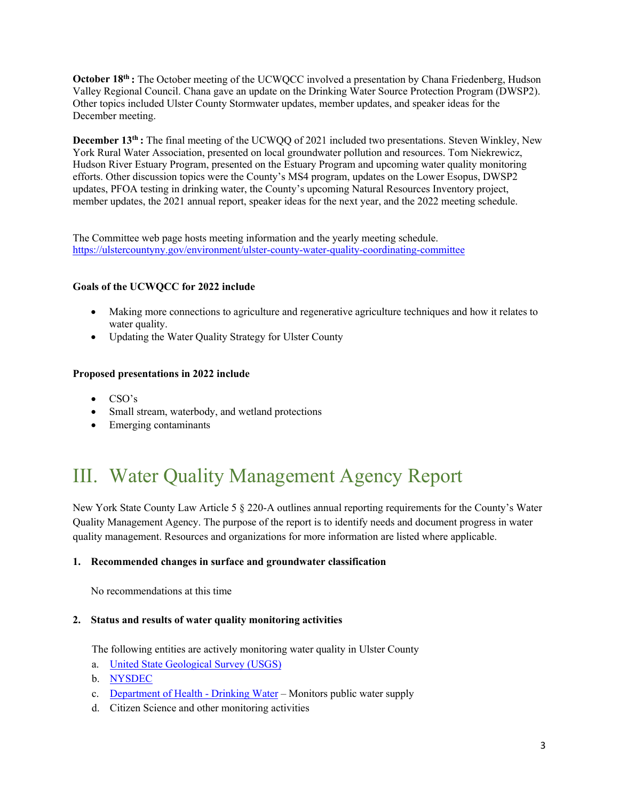**October 18<sup>th</sup> :** The October meeting of the UCWQCC involved a presentation by Chana Friedenberg, Hudson Valley Regional Council. Chana gave an update on the Drinking Water Source Protection Program (DWSP2). Other topics included Ulster County Stormwater updates, member updates, and speaker ideas for the December meeting.

**December 13<sup>th</sup> :** The final meeting of the UCWQQ of 2021 included two presentations. Steven Winkley, New York Rural Water Association, presented on local groundwater pollution and resources. Tom Niekrewicz, Hudson River Estuary Program, presented on the Estuary Program and upcoming water quality monitoring efforts. Other discussion topics were the County's MS4 program, updates on the Lower Esopus, DWSP2 updates, PFOA testing in drinking water, the County's upcoming Natural Resources Inventory project, member updates, the 2021 annual report, speaker ideas for the next year, and the 2022 meeting schedule.

The Committee web page hosts meeting information and the yearly meeting schedule. <https://ulstercountyny.gov/environment/ulster-county-water-quality-coordinating-committee>

#### **Goals of the UCWQCC for 2022 include**

- Making more connections to agriculture and regenerative agriculture techniques and how it relates to water quality.
- Updating the Water Quality Strategy for Ulster County

#### **Proposed presentations in 2022 include**

- CSO's
- Small stream, waterbody, and wetland protections
- Emerging contaminants

## <span id="page-2-0"></span>III. Water Quality Management Agency Report

New York State County Law Article 5 § 220-A outlines annual reporting requirements for the County's Water Quality Management Agency. The purpose of the report is to identify needs and document progress in water quality management. Resources and organizations for more information are listed where applicable.

#### **1. Recommended changes in surface and groundwater classification**

No recommendations at this time

#### **2. Status and results of water quality monitoring activities**

The following entities are actively monitoring water quality in Ulster County

- a. [United State Geological Survey \(USGS\)](https://waterdata.usgs.gov/nwis/qw)
- b. [NYSDEC](https://www.dec.ny.gov/chemical/23848.html)
- c. [Department of Health Drinking Water](https://ulstercountyny.gov/water-testing)  Monitors public water supply
- d. Citizen Science and other monitoring activities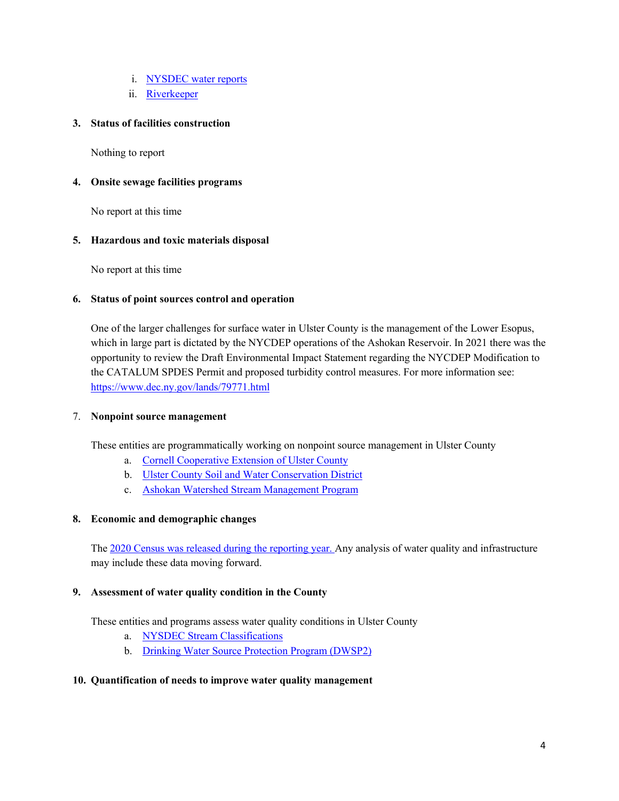- i. [NYSDEC water reports](https://www.dec.ny.gov/lands/77832.html)
- ii. [Riverkeeper](https://www.riverkeeper.org/water-quality/)

#### **3. Status of facilities construction**

Nothing to report

#### **4. Onsite sewage facilities programs**

No report at this time

#### **5. Hazardous and toxic materials disposal**

No report at this time

#### **6. Status of point sources control and operation**

One of the larger challenges for surface water in Ulster County is the management of the Lower Esopus, which in large part is dictated by the NYCDEP operations of the Ashokan Reservoir. In 2021 there was the opportunity to review the Draft Environmental Impact Statement regarding the NYCDEP Modification to the CATALUM SPDES Permit and proposed turbidity control measures. For more information see: <https://www.dec.ny.gov/lands/79771.html>

#### 7. **Nonpoint source management**

These entities are programmatically working on nonpoint source management in Ulster County

- a. [Cornell Cooperative Extension of Ulster County](http://ulster.cce.cornell.edu/)
- b. [Ulster County Soil and Water Conservation District](https://ucswcd.org/)
- c. [Ashokan Watershed Stream Management Program](https://ashokanstreams.org/)

#### **8. Economic and demographic changes**

The [2020 Census](https://data.census.gov/cedsci/all?g=0500000US36111) was released during the reporting year. Any analysis of water quality and infrastructure may include these data moving forward.

#### **9. Assessment of water quality condition in the County**

These entities and programs assess water quality conditions in Ulster County

- a. [NYSDEC Stream Classifications](https://www.dec.ny.gov/pubs/109457.html)
- b. [Drinking Water Source Protection Program \(DWSP2\)](https://www.dec.ny.gov/chemical/115250.html)

#### **10. Quantification of needs to improve water quality management**